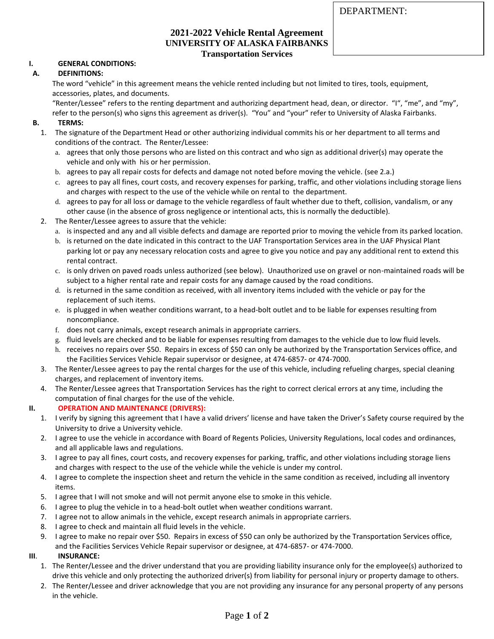### **2021-2022 Vehicle Rental Agreement UNIVERSITY OF ALASKA FAIRBANKS Transportation Services**

## **I. GENERAL CONDITIONS:**

## **A. DEFINITIONS:**

The word "vehicle" in this agreement means the vehicle rented including but not limited to tires, tools, equipment, accessories, plates, and documents.

"Renter/Lessee" refers to the renting department and authorizing department head, dean, or director. "I", "me", and "my", refer to the person(s) who signs this agreement as driver(s). "You" and "your" refer to University of Alaska Fairbanks.

### **B. TERMS:**

- 1. The signature of the Department Head or other authorizing individual commits his or her department to all terms and conditions of the contract. The Renter/Lessee:
	- a. agrees that only those persons who are listed on this contract and who sign as additional driver(s) may operate the vehicle and only with his or her permission.
	- b. agrees to pay all repair costs for defects and damage not noted before moving the vehicle. (see 2.a.)
	- c. agrees to pay all fines, court costs, and recovery expenses for parking, traffic, and other violations including storage liens and charges with respect to the use of the vehicle while on rental to the department.
	- d. agrees to pay for all loss or damage to the vehicle regardless of fault whether due to theft, collision, vandalism, or any other cause (in the absence of gross negligence or intentional acts, this is normally the deductible).
- 2. The Renter/Lessee agrees to assure that the vehicle:
	- a. is inspected and any and all visible defects and damage are reported prior to moving the vehicle from its parked location.
	- b. is returned on the date indicated in this contract to the UAF Transportation Services area in the UAF Physical Plant parking lot or pay any necessary relocation costs and agree to give you notice and pay any additional rent to extend this rental contract.
	- c. is only driven on paved roads unless authorized (see below). Unauthorized use on gravel or non-maintained roads will be subject to a higher rental rate and repair costs for any damage caused by the road conditions.
	- d. is returned in the same condition as received, with all inventory items included with the vehicle or pay for the replacement of such items.
	- e. is plugged in when weather conditions warrant, to a head-bolt outlet and to be liable for expenses resulting from noncompliance.
	- f. does not carry animals, except research animals in appropriate carriers.
	- g. fluid levels are checked and to be liable for expenses resulting from damages to the vehicle due to low fluid levels.
	- h. receives no repairs over \$50. Repairs in excess of \$50 can only be authorized by the Transportation Services office, and the Facilities Services Vehicle Repair supervisor or designee, at 474-6857- or 474-7000.
- 3. The Renter/Lessee agrees to pay the rental charges for the use of this vehicle, including refueling charges, special cleaning charges, and replacement of inventory items.
- 4. The Renter/Lessee agrees that Transportation Services has the right to correct clerical errors at any time, including the computation of final charges for the use of the vehicle.

# **II. OPERATION AND MAINTENANCE (DRIVERS):**

- 1. I verify by signing this agreement that I have a valid drivers' license and have taken the Driver's Safety course required by the University to drive a University vehicle.
- 2. I agree to use the vehicle in accordance with Board of Regents Policies, University Regulations, local codes and ordinances, and all applicable laws and regulations.
- 3. I agree to pay all fines, court costs, and recovery expenses for parking, traffic, and other violations including storage liens and charges with respect to the use of the vehicle while the vehicle is under my control.
- 4. I agree to complete the inspection sheet and return the vehicle in the same condition as received, including all inventory items.
- 5. I agree that I will not smoke and will not permit anyone else to smoke in this vehicle.
- 6. I agree to plug the vehicle in to a head-bolt outlet when weather conditions warrant.
- 7. I agree not to allow animals in the vehicle, except research animals in appropriate carriers.
- 8. I agree to check and maintain all fluid levels in the vehicle.
- 9. I agree to make no repair over \$50. Repairs in excess of \$50 can only be authorized by the Transportation Services office, and the Facilities Services Vehicle Repair supervisor or designee, at 474-6857- or 474-7000.

#### **III**. **INSURANCE:**

- 1. The Renter/Lessee and the driver understand that you are providing liability insurance only for the employee(s) authorized to drive this vehicle and only protecting the authorized driver(s) from liability for personal injury or property damage to others.
- 2. The Renter/Lessee and driver acknowledge that you are not providing any insurance for any personal property of any persons in the vehicle.